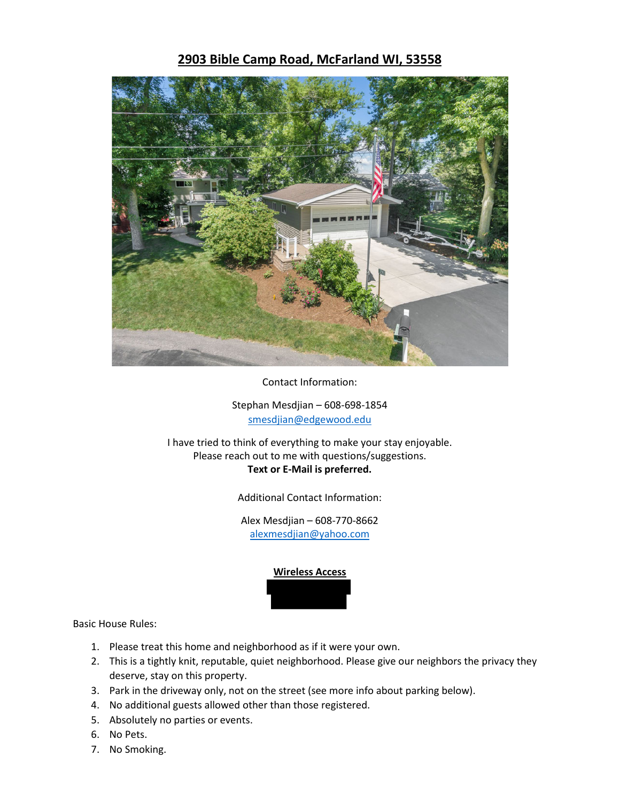## **2903 Bible Camp Road, McFarland WI, 53558**



Contact Information:

Stephan Mesdjian – 608-698-1854 smesdjian@edgewood.edu

I have tried to think of everything to make your stay enjoyable. Please reach out to me with questions/suggestions. **Text or E-Mail is preferred.**

Additional Contact Information:

Alex Mesdjian – 608-770-8662 alexmesdjian@yahoo.com



Basic House Rules:

- 1. Please treat this home and neighborhood as if it were your own.
- 2. This is a tightly knit, reputable, quiet neighborhood. Please give our neighbors the privacy they deserve, stay on this property.
- 3. Park in the driveway only, not on the street (see more info about parking below).
- 4. No additional guests allowed other than those registered.
- 5. Absolutely no parties or events.
- 6. No Pets.
- 7. No Smoking.